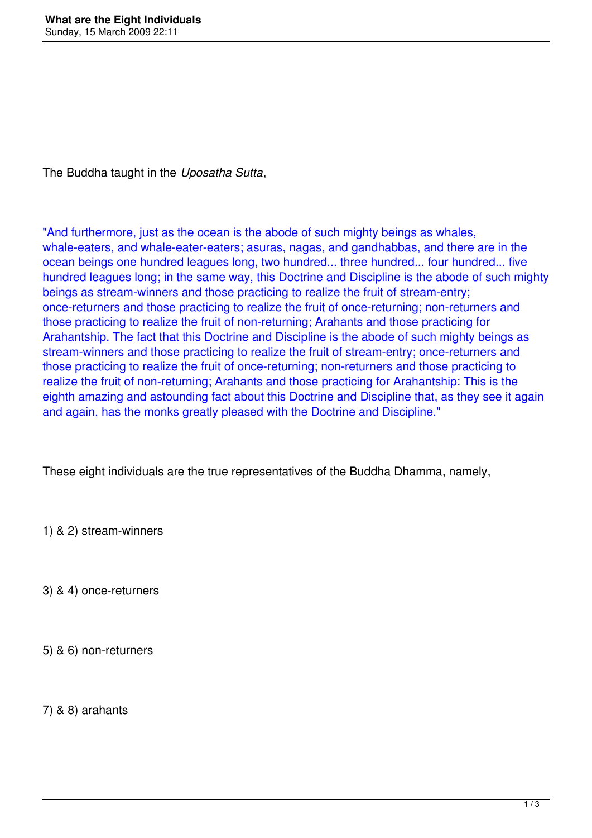The Buddha taught in the *Uposatha Sutta*,

"And furthermore, just as the ocean is the abode of such mighty beings as whales, whale-eaters, and whale-eater-eaters; asuras, nagas, and gandhabbas, and there are in the ocean beings one hundred leagues long, two hundred... three hundred... four hundred... five hundred leagues long; in the same way, this Doctrine and Discipline is the abode of such mighty beings as stream-winners and those practicing to realize the fruit of stream-entry; once-returners and those practicing to realize the fruit of once-returning; non-returners and those practicing to realize the fruit of non-returning; Arahants and those practicing for Arahantship. The fact that this Doctrine and Discipline is the abode of such mighty beings as stream-winners and those practicing to realize the fruit of stream-entry; once-returners and those practicing to realize the fruit of once-returning; non-returners and those practicing to realize the fruit of non-returning; Arahants and those practicing for Arahantship: This is the eighth amazing and astounding fact about this Doctrine and Discipline that, as they see it again and again, has the monks greatly pleased with the Doctrine and Discipline."

These eight individuals are the true representatives of the Buddha Dhamma, namely,

1) & 2) stream-winners

3) & 4) once-returners

5) & 6) non-returners

7) & 8) arahants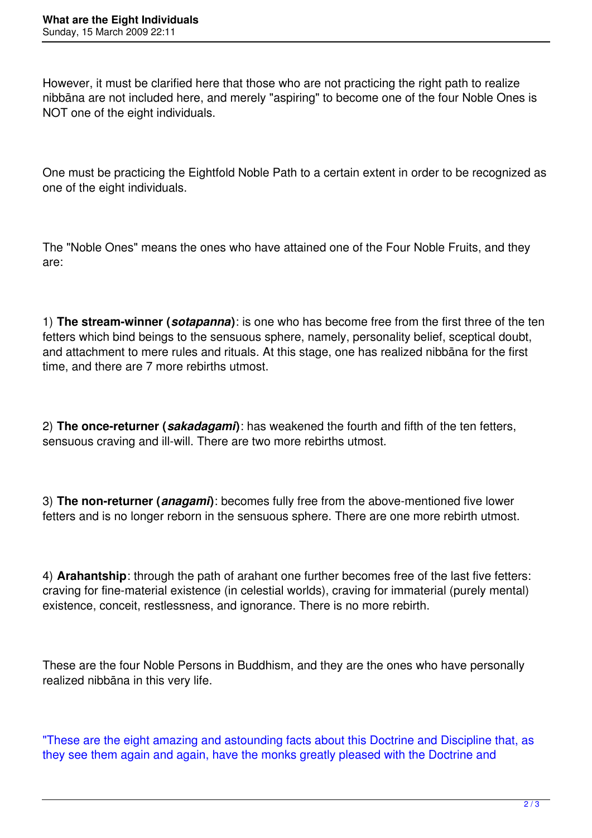However, it must be clarified here that those who are not practicing the right path to realize nibbāna are not included here, and merely "aspiring" to become one of the four Noble Ones is NOT one of the eight individuals.

One must be practicing the Eightfold Noble Path to a certain extent in order to be recognized as one of the eight individuals.

The "Noble Ones" means the ones who have attained one of the Four Noble Fruits, and they are:

1) **The stream-winner (***sotapanna***)**: is one who has become free from the first three of the ten fetters which bind beings to the sensuous sphere, namely, personality belief, sceptical doubt, and attachment to mere rules and rituals. At this stage, one has realized nibbāna for the first time, and there are 7 more rebirths utmost.

2) **The once-returner (***sakadagami***)**: has weakened the fourth and fifth of the ten fetters, sensuous craving and ill-will. There are two more rebirths utmost.

3) **The non-returner (***anagami***)**: becomes fully free from the above-mentioned five lower fetters and is no longer reborn in the sensuous sphere. There are one more rebirth utmost.

4) **Arahantship**: through the path of arahant one further becomes free of the last five fetters: craving for fine-material existence (in celestial worlds), craving for immaterial (purely mental) existence, conceit, restlessness, and ignorance. There is no more rebirth.

These are the four Noble Persons in Buddhism, and they are the ones who have personally realized nibbāna in this very life.

"These are the eight amazing and astounding facts about this Doctrine and Discipline that, as they see them again and again, have the monks greatly pleased with the Doctrine and